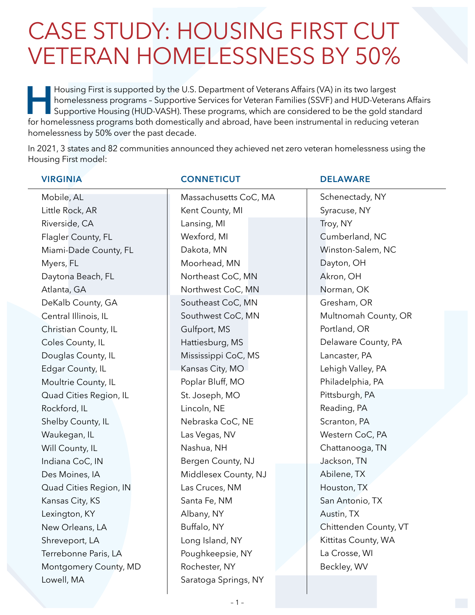## CASE STUDY: HOUSING FIRST CUT VETERAN HOMELESSNESS BY 50%

Housing First is supported by the U.S. Department of Veterans Affairs (VA) in its two largest<br>homelessness programs - Supportive Services for Veteran Families (SSVF) and HUD-Veterar<br>for homelessness programs both domestica homelessness programs – Supportive Services for Veteran Families (SSVF) and HUD-Veterans Affairs Supportive Housing (HUD-VASH). These programs, which are considered to be the gold standard for homelessness programs both domestically and abroad, have been instrumental in reducing veteran homelessness by 50% over the past decade.

In 2021, 3 states and 82 communities announced they achieved net zero veteran homelessness using the Housing First model:

| <b>VIRGINIA</b>        | <b>CONNETICUT</b>     | <b>DELAWARE</b>       |
|------------------------|-----------------------|-----------------------|
| Mobile, AL             | Massachusetts CoC, MA | Schenectady, NY       |
| Little Rock, AR        | Kent County, MI       | Syracuse, NY          |
| Riverside, CA          | Lansing, MI           | Troy, NY              |
| Flagler County, FL     | Wexford, MI           | Cumberland, NC        |
| Miami-Dade County, FL  | Dakota, MN            | Winston-Salem, NC     |
| Myers, FL              | Moorhead, MN          | Dayton, OH            |
| Daytona Beach, FL      | Northeast CoC, MN     | Akron, OH             |
| Atlanta, GA            | Northwest CoC, MN     | Norman, OK            |
| DeKalb County, GA      | Southeast CoC, MN     | Gresham, OR           |
| Central Illinois, IL   | Southwest CoC, MN     | Multnomah County, OR  |
| Christian County, IL   | Gulfport, MS          | Portland, OR          |
| Coles County, IL       | Hattiesburg, MS       | Delaware County, PA   |
| Douglas County, IL     | Mississippi CoC, MS   | Lancaster, PA         |
| Edgar County, IL       | Kansas City, MO       | Lehigh Valley, PA     |
| Moultrie County, IL    | Poplar Bluff, MO      | Philadelphia, PA      |
| Quad Cities Region, IL | St. Joseph, MO        | Pittsburgh, PA        |
| Rockford, IL           | Lincoln, NE           | Reading, PA           |
| Shelby County, IL      | Nebraska CoC, NE      | Scranton, PA          |
| Waukegan, IL           | Las Vegas, NV         | Western CoC, PA       |
| Will County, IL        | Nashua, NH            | Chattanooga, TN       |
| Indiana CoC, IN        | Bergen County, NJ     | Jackson, TN           |
| Des Moines, IA         | Middlesex County, NJ  | Abilene, TX           |
| Quad Cities Region, IN | Las Cruces, NM        | Houston, TX           |
| Kansas City, KS        | Santa Fe, NM          | San Antonio, TX       |
| Lexington, KY          | Albany, NY            | Austin, TX            |
| New Orleans, LA        | Buffalo, NY           | Chittenden County, VT |
| Shreveport, LA         | Long Island, NY       | Kittitas County, WA   |
| Terrebonne Paris, LA   | Poughkeepsie, NY      | La Crosse, WI         |
| Montgomery County, MD  | Rochester, NY         | Beckley, WV           |
| Lowell, MA             | Saratoga Springs, NY  |                       |